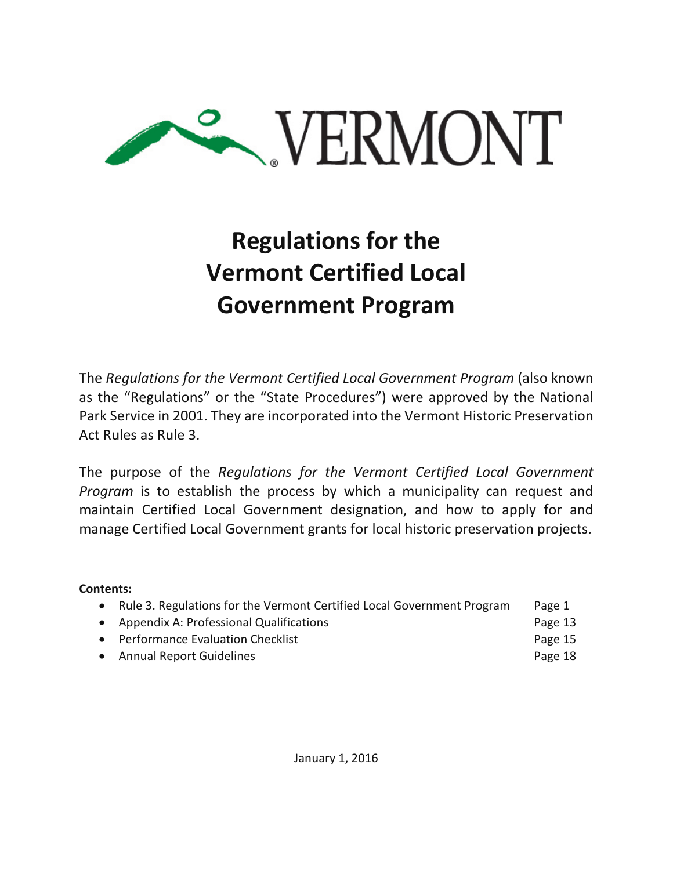

# **Regulations for the Vermont Certified Local Government Program**

The *Regulations for the Vermont Certified Local Government Program* (also known as the "Regulations" or the "State Procedures") were approved by the National Park Service in 2001. They are incorporated into the Vermont Historic Preservation Act Rules as Rule 3.

The purpose of the *Regulations for the Vermont Certified Local Government Program* is to establish the process by which a municipality can request and maintain Certified Local Government designation, and how to apply for and manage Certified Local Government grants for local historic preservation projects.

**Contents:**

|  | • Rule 3. Regulations for the Vermont Certified Local Government Program |  |  | Page 1 |
|--|--------------------------------------------------------------------------|--|--|--------|
|--|--------------------------------------------------------------------------|--|--|--------|

• Appendix A: Professional Qualifications **Page 13** 

- Performance Evaluation Checklist **Page 15** 
	- Annual Report Guidelines **Page 18**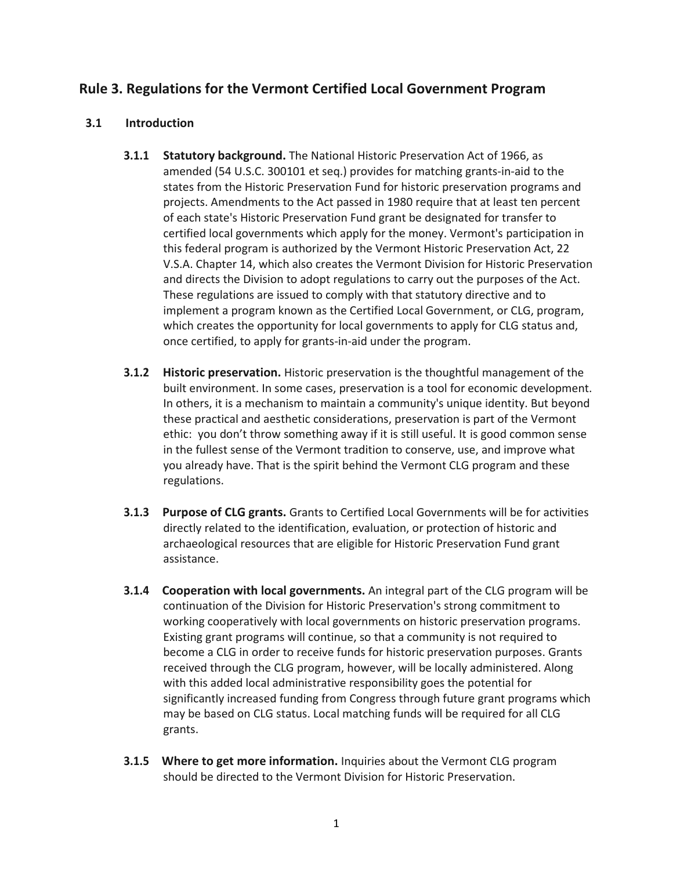# **Rule 3. Regulations for the Vermont Certified Local Government Program**

# **3.1 Introduction**

- **3.1.1 Statutory background.** The National Historic Preservation Act of 1966, as amended (54 U.S.C. 300101 et seq.) provides for matching grants-in-aid to the states from the Historic Preservation Fund for historic preservation programs and projects. Amendments to the Act passed in 1980 require that at least ten percent of each state's Historic Preservation Fund grant be designated for transfer to certified local governments which apply for the money. Vermont's participation in this federal program is authorized by the Vermont Historic Preservation Act, 22 V.S.A. Chapter 14, which also creates the Vermont Division for Historic Preservation and directs the Division to adopt regulations to carry out the purposes of the Act. These regulations are issued to comply with that statutory directive and to implement a program known as the Certified Local Government, or CLG, program, which creates the opportunity for local governments to apply for CLG status and, once certified, to apply for grants-in-aid under the program.
- **3.1.2 Historic preservation.** Historic preservation is the thoughtful management of the built environment. In some cases, preservation is a tool for economic development. In others, it is a mechanism to maintain a community's unique identity. But beyond these practical and aesthetic considerations, preservation is part of the Vermont ethic: you don't throw something away if it is still useful. It is good common sense in the fullest sense of the Vermont tradition to conserve, use, and improve what you already have. That is the spirit behind the Vermont CLG program and these regulations.
- **3.1.3 Purpose of CLG grants.** Grants to Certified Local Governments will be for activities directly related to the identification, evaluation, or protection of historic and archaeological resources that are eligible for Historic Preservation Fund grant assistance.
- **3.1.4 Cooperation with local governments.** An integral part of the CLG program will be continuation of the Division for Historic Preservation's strong commitment to working cooperatively with local governments on historic preservation programs. Existing grant programs will continue, so that a community is not required to become a CLG in order to receive funds for historic preservation purposes. Grants received through the CLG program, however, will be locally administered. Along with this added local administrative responsibility goes the potential for significantly increased funding from Congress through future grant programs which may be based on CLG status. Local matching funds will be required for all CLG grants.
- **3.1.5 Where to get more information.** Inquiries about the Vermont CLG program should be directed to the Vermont Division for Historic Preservation.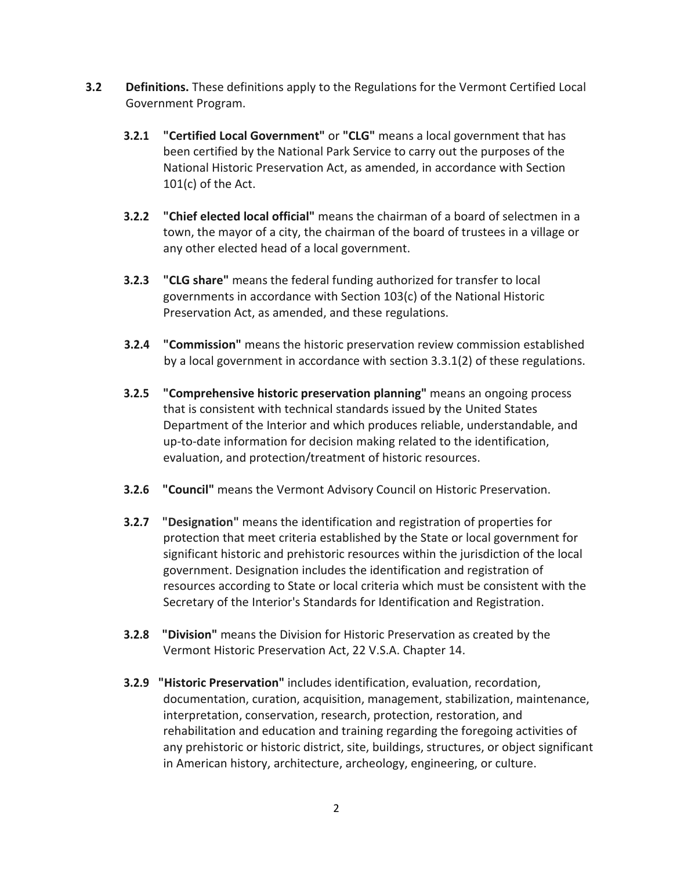- **3.2 Definitions.** These definitions apply to the Regulations for the Vermont Certified Local Government Program.
	- **3.2.1 "Certified Local Government"** or **"CLG"** means a local government that has been certified by the National Park Service to carry out the purposes of the National Historic Preservation Act, as amended, in accordance with Section 101(c) of the Act.
	- **3.2.2 "Chief elected local official"** means the chairman of a board of selectmen in a town, the mayor of a city, the chairman of the board of trustees in a village or any other elected head of a local government.
	- **3.2.3 "CLG share"** means the federal funding authorized for transfer to local governments in accordance with Section 103(c) of the National Historic Preservation Act, as amended, and these regulations.
	- **3.2.4 "Commission"** means the historic preservation review commission established by a local government in accordance with section 3.3.1(2) of these regulations.
	- **3.2.5 "Comprehensive historic preservation planning"** means an ongoing process that is consistent with technical standards issued by the United States Department of the Interior and which produces reliable, understandable, and up-to-date information for decision making related to the identification, evaluation, and protection/treatment of historic resources.
	- **3.2.6 "Council"** means the Vermont Advisory Council on Historic Preservation.
	- **3.2.7 "Designation"** means the identification and registration of properties for protection that meet criteria established by the State or local government for significant historic and prehistoric resources within the jurisdiction of the local government. Designation includes the identification and registration of resources according to State or local criteria which must be consistent with the Secretary of the Interior's Standards for Identification and Registration.
	- **3.2.8 "Division"** means the Division for Historic Preservation as created by the Vermont Historic Preservation Act, 22 V.S.A. Chapter 14.
	- **3.2.9 "Historic Preservation"** includes identification, evaluation, recordation, documentation, curation, acquisition, management, stabilization, maintenance, interpretation, conservation, research, protection, restoration, and rehabilitation and education and training regarding the foregoing activities of any prehistoric or historic district, site, buildings, structures, or object significant in American history, architecture, archeology, engineering, or culture.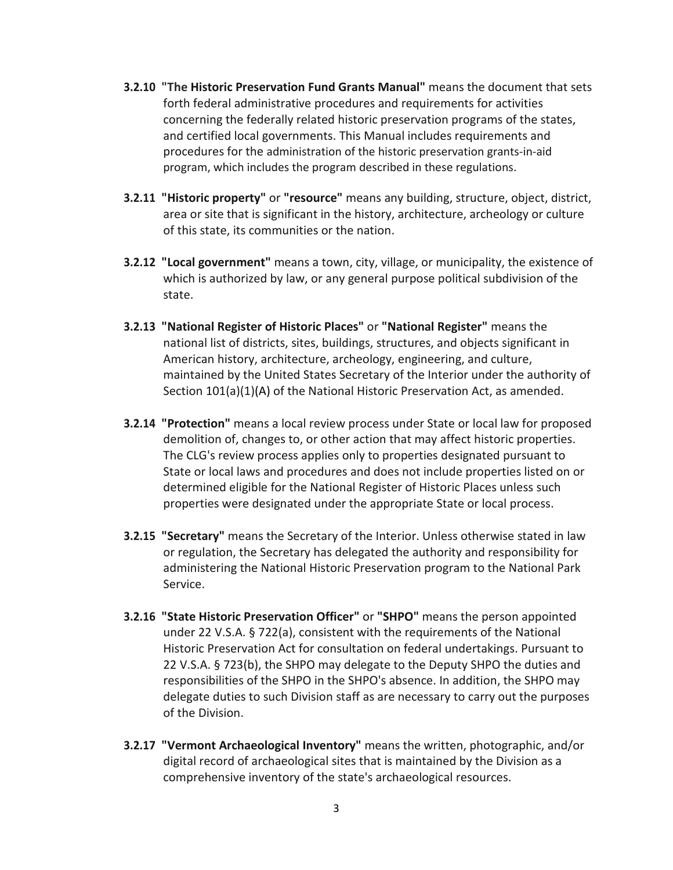- **3.2.10 "The Historic Preservation Fund Grants Manual"** means the document that sets forth federal administrative procedures and requirements for activities concerning the federally related historic preservation programs of the states, and certified local governments. This Manual includes requirements and procedures for the administration of the historic preservation grants-in-aid program, which includes the program described in these regulations.
- **3.2.11 "Historic property"** or **"resource"** means any building, structure, object, district, area or site that is significant in the history, architecture, archeology or culture of this state, its communities or the nation.
- **3.2.12 "Local government"** means a town, city, village, or municipality, the existence of which is authorized by law, or any general purpose political subdivision of the state.
- **3.2.13 "National Register of Historic Places"** or **"National Register"** means the national list of districts, sites, buildings, structures, and objects significant in American history, architecture, archeology, engineering, and culture, maintained by the United States Secretary of the Interior under the authority of Section 101(a)(1)(A) of the National Historic Preservation Act, as amended.
- **3.2.14 "Protection"** means a local review process under State or local law for proposed demolition of, changes to, or other action that may affect historic properties. The CLG's review process applies only to properties designated pursuant to State or local laws and procedures and does not include properties listed on or determined eligible for the National Register of Historic Places unless such properties were designated under the appropriate State or local process.
- **3.2.15 "Secretary"** means the Secretary of the Interior. Unless otherwise stated in law or regulation, the Secretary has delegated the authority and responsibility for administering the National Historic Preservation program to the National Park Service.
- **3.2.16 "State Historic Preservation Officer"** or **"SHPO"** means the person appointed under 22 V.S.A. § 722(a), consistent with the requirements of the National Historic Preservation Act for consultation on federal undertakings. Pursuant to 22 V.S.A. § 723(b), the SHPO may delegate to the Deputy SHPO the duties and responsibilities of the SHPO in the SHPO's absence. In addition, the SHPO may delegate duties to such Division staff as are necessary to carry out the purposes of the Division.
- **3.2.17 "Vermont Archaeological Inventory"** means the written, photographic, and/or digital record of archaeological sites that is maintained by the Division as a comprehensive inventory of the state's archaeological resources.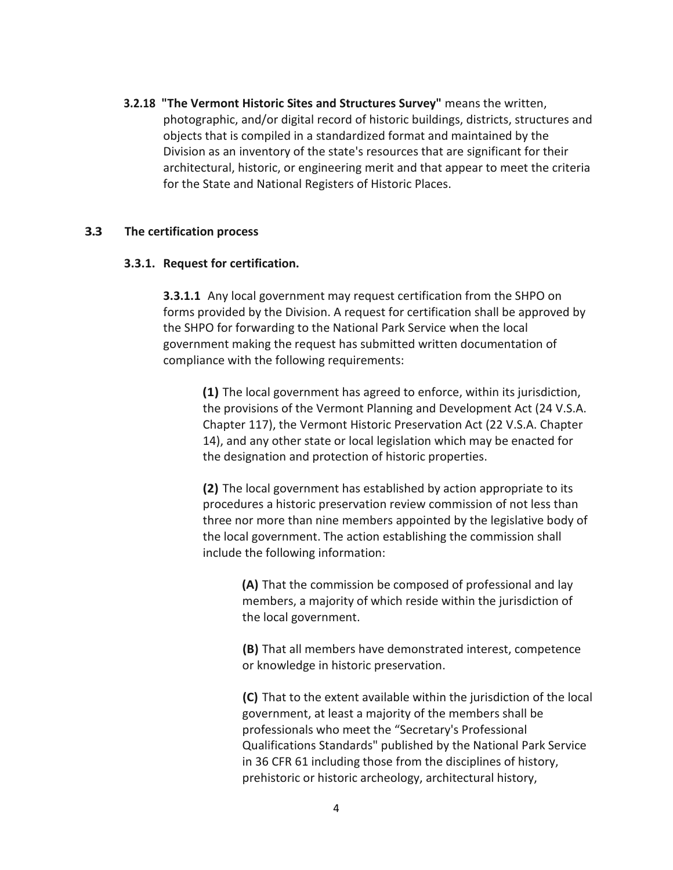**3.2.18 "The Vermont Historic Sites and Structures Survey"** means the written, photographic, and/or digital record of historic buildings, districts, structures and objects that is compiled in a standardized format and maintained by the Division as an inventory of the state's resources that are significant for their architectural, historic, or engineering merit and that appear to meet the criteria for the State and National Registers of Historic Places.

#### **3.3 The certification process**

#### **3.3.1. Request for certification.**

**3.3.1.1** Any local government may request certification from the SHPO on forms provided by the Division. A request for certification shall be approved by the SHPO for forwarding to the National Park Service when the local government making the request has submitted written documentation of compliance with the following requirements:

**(1)** The local government has agreed to enforce, within its jurisdiction, the provisions of the Vermont Planning and Development Act (24 V.S.A. Chapter 117), the Vermont Historic Preservation Act (22 V.S.A. Chapter 14), and any other state or local legislation which may be enacted for the designation and protection of historic properties.

**(2)** The local government has established by action appropriate to its procedures a historic preservation review commission of not less than three nor more than nine members appointed by the legislative body of the local government. The action establishing the commission shall include the following information:

> **(A)** That the commission be composed of professional and lay members, a majority of which reside within the jurisdiction of the local government.

**(B)** That all members have demonstrated interest, competence or knowledge in historic preservation.

**(C)** That to the extent available within the jurisdiction of the local government, at least a majority of the members shall be professionals who meet the "Secretary's Professional Qualifications Standards" published by the National Park Service in 36 CFR 61 including those from the disciplines of history, prehistoric or historic archeology, architectural history,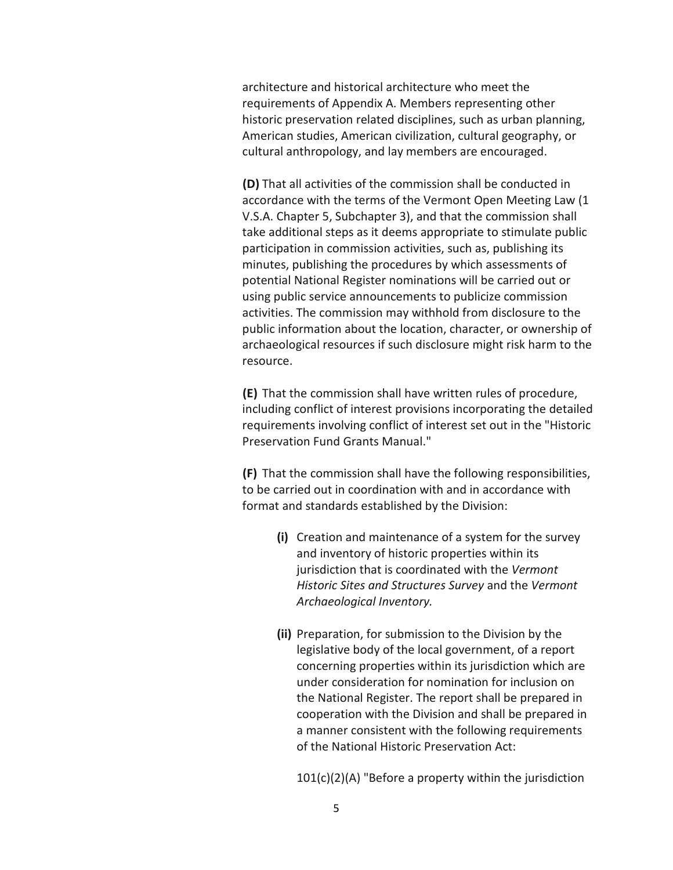architecture and historical architecture who meet the requirements of Appendix A. Members representing other historic preservation related disciplines, such as urban planning, American studies, American civilization, cultural geography, or cultural anthropology, and lay members are encouraged.

**(D)** That all activities of the commission shall be conducted in accordance with the terms of the Vermont Open Meeting Law (1 V.S.A. Chapter 5, Subchapter 3), and that the commission shall take additional steps as it deems appropriate to stimulate public participation in commission activities, such as, publishing its minutes, publishing the procedures by which assessments of potential National Register nominations will be carried out or using public service announcements to publicize commission activities. The commission may withhold from disclosure to the public information about the location, character, or ownership of archaeological resources if such disclosure might risk harm to the resource.

**(E)** That the commission shall have written rules of procedure, including conflict of interest provisions incorporating the detailed requirements involving conflict of interest set out in the "Historic Preservation Fund Grants Manual."

**(F)** That the commission shall have the following responsibilities, to be carried out in coordination with and in accordance with format and standards established by the Division:

- **(i)** Creation and maintenance of a system for the survey and inventory of historic properties within its jurisdiction that is coordinated with the *Vermont Historic Sites and Structures Survey* and the *Vermont Archaeological Inventory.*
- **(ii)** Preparation, for submission to the Division by the legislative body of the local government, of a report concerning properties within its jurisdiction which are under consideration for nomination for inclusion on the National Register. The report shall be prepared in cooperation with the Division and shall be prepared in a manner consistent with the following requirements of the National Historic Preservation Act:

 $101(c)(2)(A)$  "Before a property within the jurisdiction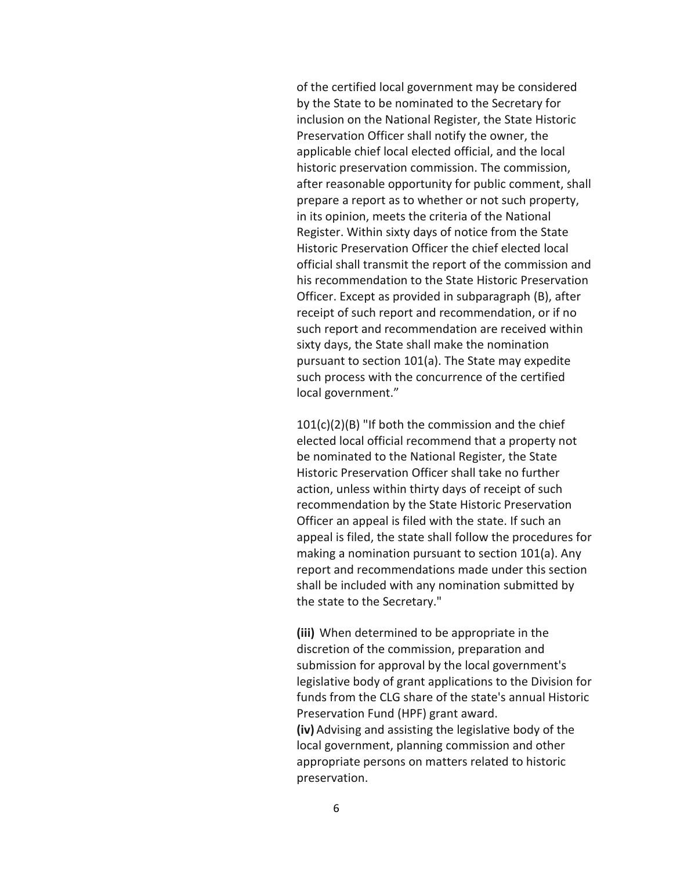of the certified local government may be considered by the State to be nominated to the Secretary for inclusion on the National Register, the State Historic Preservation Officer shall notify the owner, the applicable chief local elected official, and the local historic preservation commission. The commission, after reasonable opportunity for public comment, shall prepare a report as to whether or not such property, in its opinion, meets the criteria of the National Register. Within sixty days of notice from the State Historic Preservation Officer the chief elected local official shall transmit the report of the commission and his recommendation to the State Historic Preservation Officer. Except as provided in subparagraph (B), after receipt of such report and recommendation, or if no such report and recommendation are received within sixty days, the State shall make the nomination pursuant to section 101(a). The State may expedite such process with the concurrence of the certified local government."

101(c)(2)(B) "If both the commission and the chief elected local official recommend that a property not be nominated to the National Register, the State Historic Preservation Officer shall take no further action, unless within thirty days of receipt of such recommendation by the State Historic Preservation Officer an appeal is filed with the state. If such an appeal is filed, the state shall follow the procedures for making a nomination pursuant to section 101(a). Any report and recommendations made under this section shall be included with any nomination submitted by the state to the Secretary."

**(iii)** When determined to be appropriate in the discretion of the commission, preparation and submission for approval by the local government's legislative body of grant applications to the Division for funds from the CLG share of the state's annual Historic Preservation Fund (HPF) grant award. **(iv)** Advising and assisting the legislative body of the local government, planning commission and other appropriate persons on matters related to historic preservation.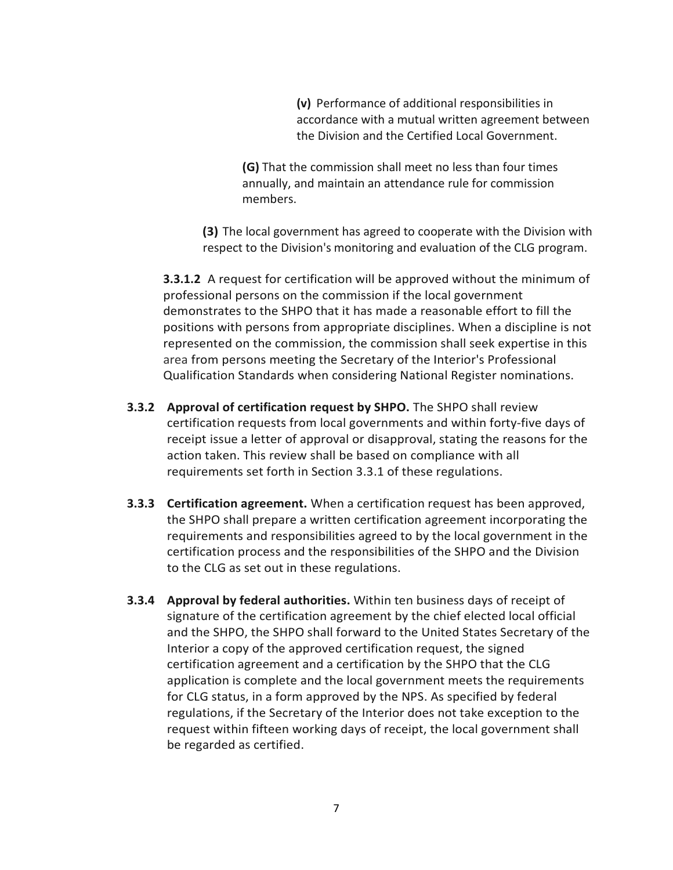**(v)** Performance of additional responsibilities in accordance with a mutual written agreement between the Division and the Certified Local Government.

**(G)** That the commission shall meet no less than four times annually, and maintain an attendance rule for commission members.

**(3)** The local government has agreed to cooperate with the Division with respect to the Division's monitoring and evaluation of the CLG program.

**3.3.1.2** A request for certification will be approved without the minimum of professional persons on the commission if the local government demonstrates to the SHPO that it has made a reasonable effort to fill the positions with persons from appropriate disciplines. When a discipline is not represented on the commission, the commission shall seek expertise in this area from persons meeting the Secretary of the Interior's Professional Qualification Standards when considering National Register nominations.

- **3.3.2 Approval of certification request by SHPO.** The SHPO shall review certification requests from local governments and within forty-five days of receipt issue a letter of approval or disapproval, stating the reasons for the action taken. This review shall be based on compliance with all requirements set forth in Section 3.3.1 of these regulations.
- **3.3.3 Certification agreement.** When a certification request has been approved, the SHPO shall prepare a written certification agreement incorporating the requirements and responsibilities agreed to by the local government in the certification process and the responsibilities of the SHPO and the Division to the CLG as set out in these regulations.
- **3.3.4 Approval by federal authorities.** Within ten business days of receipt of signature of the certification agreement by the chief elected local official and the SHPO, the SHPO shall forward to the United States Secretary of the Interior a copy of the approved certification request, the signed certification agreement and a certification by the SHPO that the CLG application is complete and the local government meets the requirements for CLG status, in a form approved by the NPS. As specified by federal regulations, if the Secretary of the Interior does not take exception to the request within fifteen working days of receipt, the local government shall be regarded as certified.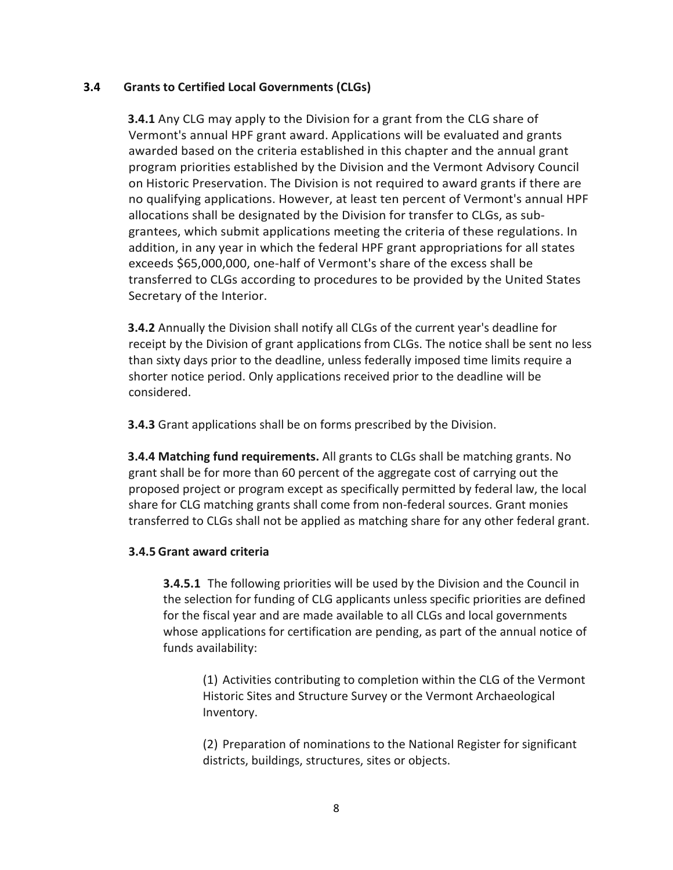# **3.4 Grants to Certified Local Governments (CLGs)**

**3.4.1** Any CLG may apply to the Division for a grant from the CLG share of Vermont's annual HPF grant award. Applications will be evaluated and grants awarded based on the criteria established in this chapter and the annual grant program priorities established by the Division and the Vermont Advisory Council on Historic Preservation. The Division is not required to award grants if there are no qualifying applications. However, at least ten percent of Vermont's annual HPF allocations shall be designated by the Division for transfer to CLGs, as subgrantees, which submit applications meeting the criteria of these regulations. In addition, in any year in which the federal HPF grant appropriations for all states exceeds \$65,000,000, one-half of Vermont's share of the excess shall be transferred to CLGs according to procedures to be provided by the United States Secretary of the Interior.

**3.4.2** Annually the Division shall notify all CLGs of the current year's deadline for receipt by the Division of grant applications from CLGs. The notice shall be sent no less than sixty days prior to the deadline, unless federally imposed time limits require a shorter notice period. Only applications received prior to the deadline will be considered.

**3.4.3** Grant applications shall be on forms prescribed by the Division.

**3.4.4 Matching fund requirements.** All grants to CLGs shall be matching grants. No grant shall be for more than 60 percent of the aggregate cost of carrying out the proposed project or program except as specifically permitted by federal law, the local share for CLG matching grants shall come from non-federal sources. Grant monies transferred to CLGs shall not be applied as matching share for any other federal grant.

# **3.4.5 Grant award criteria**

**3.4.5.1** The following priorities will be used by the Division and the Council in the selection for funding of CLG applicants unless specific priorities are defined for the fiscal year and are made available to all CLGs and local governments whose applications for certification are pending, as part of the annual notice of funds availability:

(1) Activities contributing to completion within the CLG of the Vermont Historic Sites and Structure Survey or the Vermont Archaeological Inventory.

(2) Preparation of nominations to the National Register for significant districts, buildings, structures, sites or objects.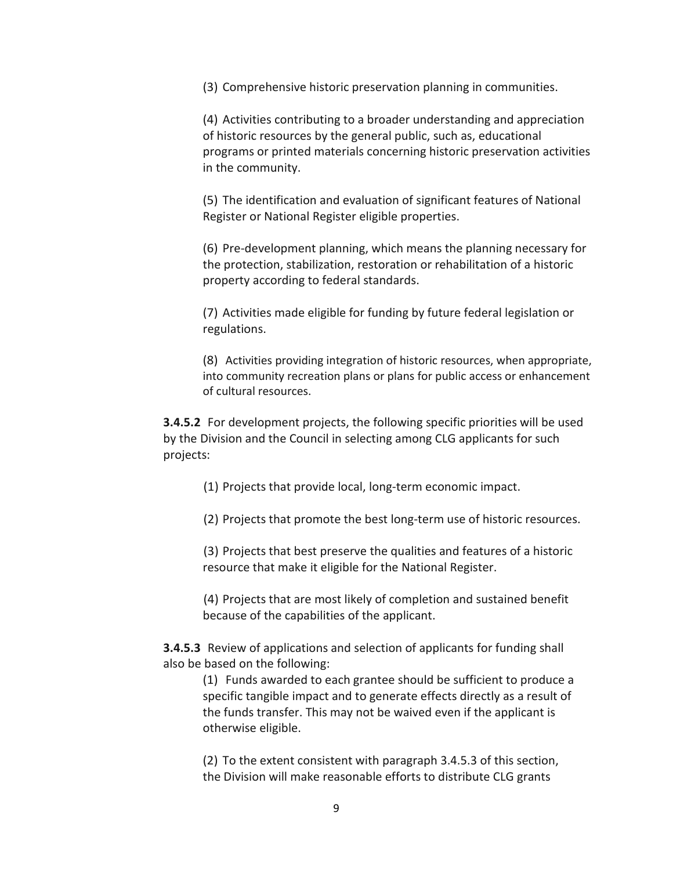(3) Comprehensive historic preservation planning in communities.

(4) Activities contributing to a broader understanding and appreciation of historic resources by the general public, such as, educational programs or printed materials concerning historic preservation activities in the community.

(5) The identification and evaluation of significant features of National Register or National Register eligible properties.

(6) Pre-development planning, which means the planning necessary for the protection, stabilization, restoration or rehabilitation of a historic property according to federal standards.

(7) Activities made eligible for funding by future federal legislation or regulations.

(8) Activities providing integration of historic resources, when appropriate, into community recreation plans or plans for public access or enhancement of cultural resources.

**3.4.5.2** For development projects, the following specific priorities will be used by the Division and the Council in selecting among CLG applicants for such projects:

(1) Projects that provide local, long-term economic impact.

(2) Projects that promote the best long-term use of historic resources.

(3) Projects that best preserve the qualities and features of a historic resource that make it eligible for the National Register.

(4) Projects that are most likely of completion and sustained benefit because of the capabilities of the applicant.

**3.4.5.3** Review of applications and selection of applicants for funding shall also be based on the following:

(1) Funds awarded to each grantee should be sufficient to produce a specific tangible impact and to generate effects directly as a result of the funds transfer. This may not be waived even if the applicant is otherwise eligible.

(2) To the extent consistent with paragraph 3.4.5.3 of this section, the Division will make reasonable efforts to distribute CLG grants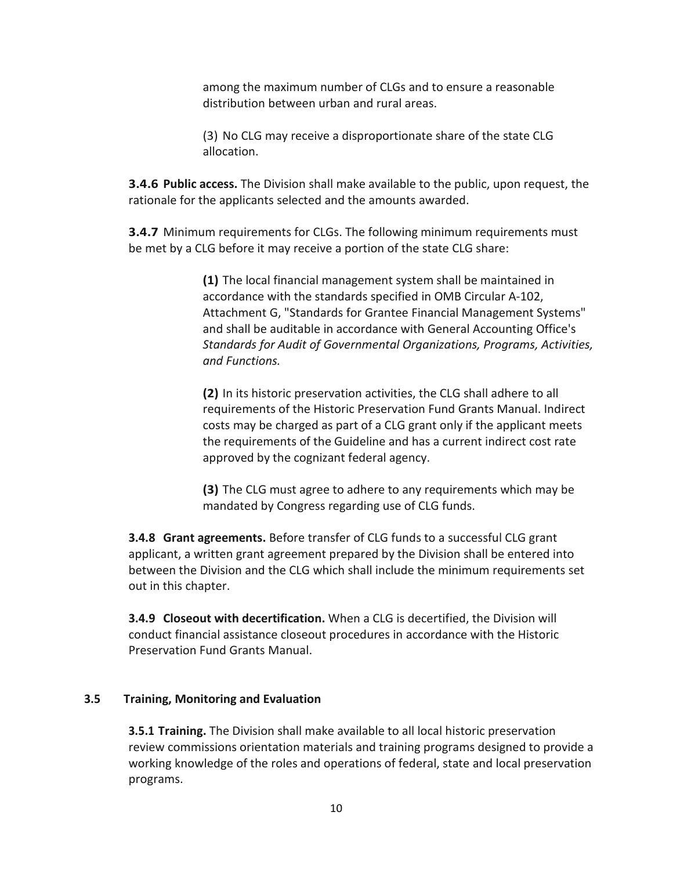among the maximum number of CLGs and to ensure a reasonable distribution between urban and rural areas.

(3) No CLG may receive a disproportionate share of the state CLG allocation.

**3.4.6 Public access.** The Division shall make available to the public, upon request, the rationale for the applicants selected and the amounts awarded.

**3.4.7** Minimum requirements for CLGs. The following minimum requirements must be met by a CLG before it may receive a portion of the state CLG share:

> **(1)** The local financial management system shall be maintained in accordance with the standards specified in OMB Circular A-102, Attachment G, "Standards for Grantee Financial Management Systems" and shall be auditable in accordance with General Accounting Office's *Standards for Audit of Governmental Organizations, Programs, Activities, and Functions.*

**(2)** In its historic preservation activities, the CLG shall adhere to all requirements of the Historic Preservation Fund Grants Manual. Indirect costs may be charged as part of a CLG grant only if the applicant meets the requirements of the Guideline and has a current indirect cost rate approved by the cognizant federal agency.

**(3)** The CLG must agree to adhere to any requirements which may be mandated by Congress regarding use of CLG funds.

**3.4.8 Grant agreements.** Before transfer of CLG funds to a successful CLG grant applicant, a written grant agreement prepared by the Division shall be entered into between the Division and the CLG which shall include the minimum requirements set out in this chapter.

**3.4.9 Closeout with decertification.** When a CLG is decertified, the Division will conduct financial assistance closeout procedures in accordance with the Historic Preservation Fund Grants Manual.

#### **3.5 Training, Monitoring and Evaluation**

**3.5.1 Training.** The Division shall make available to all local historic preservation review commissions orientation materials and training programs designed to provide a working knowledge of the roles and operations of federal, state and local preservation programs.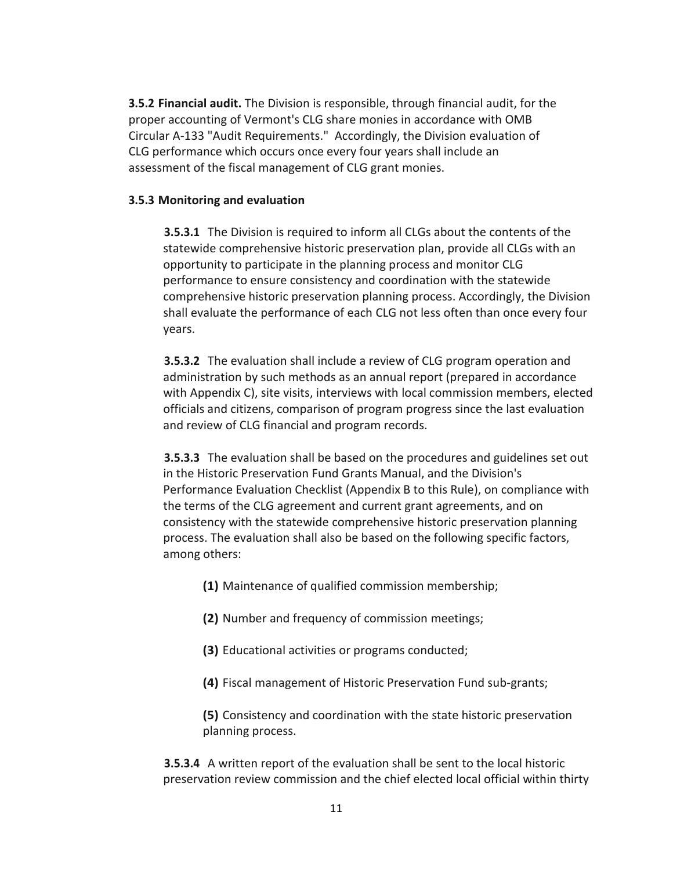**3.5.2 Financial audit.** The Division is responsible, through financial audit, for the proper accounting of Vermont's CLG share monies in accordance with OMB Circular A-133 "Audit Requirements." Accordingly, the Division evaluation of CLG performance which occurs once every four years shall include an assessment of the fiscal management of CLG grant monies.

# **3.5.3 Monitoring and evaluation**

**3.5.3.1** The Division is required to inform all CLGs about the contents of the statewide comprehensive historic preservation plan, provide all CLGs with an opportunity to participate in the planning process and monitor CLG performance to ensure consistency and coordination with the statewide comprehensive historic preservation planning process. Accordingly, the Division shall evaluate the performance of each CLG not less often than once every four years.

**3.5.3.2** The evaluation shall include a review of CLG program operation and administration by such methods as an annual report (prepared in accordance with Appendix C), site visits, interviews with local commission members, elected officials and citizens, comparison of program progress since the last evaluation and review of CLG financial and program records.

**3.5.3.3** The evaluation shall be based on the procedures and guidelines set out in the Historic Preservation Fund Grants Manual, and the Division's Performance Evaluation Checklist (Appendix B to this Rule), on compliance with the terms of the CLG agreement and current grant agreements, and on consistency with the statewide comprehensive historic preservation planning process. The evaluation shall also be based on the following specific factors, among others:

- **(1)** Maintenance of qualified commission membership;
- **(2)** Number and frequency of commission meetings;
- **(3)** Educational activities or programs conducted;
- **(4)** Fiscal management of Historic Preservation Fund sub-grants;

**(5)** Consistency and coordination with the state historic preservation planning process.

**3.5.3.4** A written report of the evaluation shall be sent to the local historic preservation review commission and the chief elected local official within thirty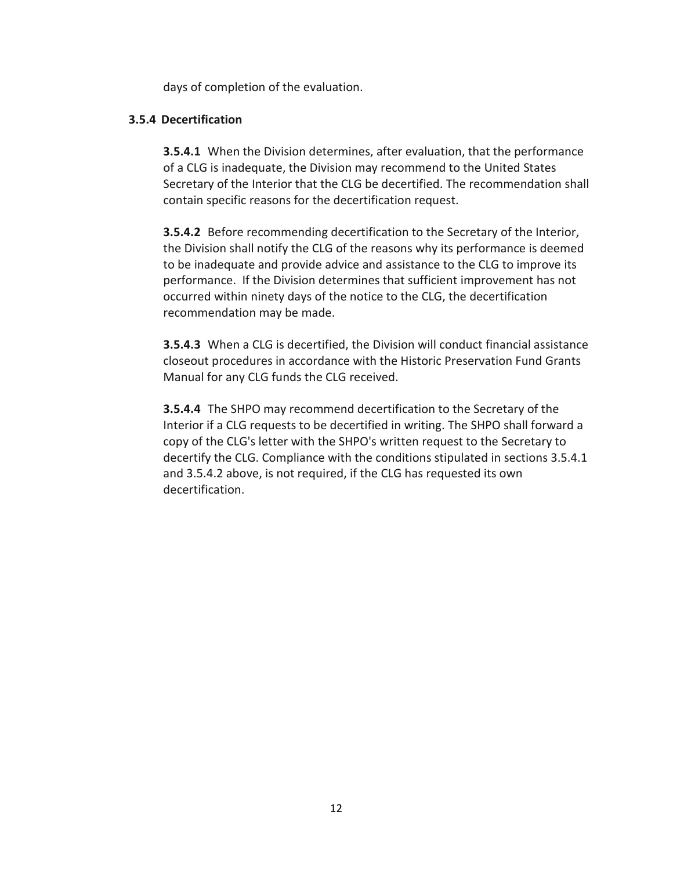days of completion of the evaluation.

# **3.5.4 Decertification**

**3.5.4.1** When the Division determines, after evaluation, that the performance of a CLG is inadequate, the Division may recommend to the United States Secretary of the Interior that the CLG be decertified. The recommendation shall contain specific reasons for the decertification request.

**3.5.4.2** Before recommending decertification to the Secretary of the Interior, the Division shall notify the CLG of the reasons why its performance is deemed to be inadequate and provide advice and assistance to the CLG to improve its performance. If the Division determines that sufficient improvement has not occurred within ninety days of the notice to the CLG, the decertification recommendation may be made.

**3.5.4.3** When a CLG is decertified, the Division will conduct financial assistance closeout procedures in accordance with the Historic Preservation Fund Grants Manual for any CLG funds the CLG received.

**3.5.4.4** The SHPO may recommend decertification to the Secretary of the Interior if a CLG requests to be decertified in writing. The SHPO shall forward a copy of the CLG's letter with the SHPO's written request to the Secretary to decertify the CLG. Compliance with the conditions stipulated in sections 3.5.4.1 and 3.5.4.2 above, is not required, if the CLG has requested its own decertification.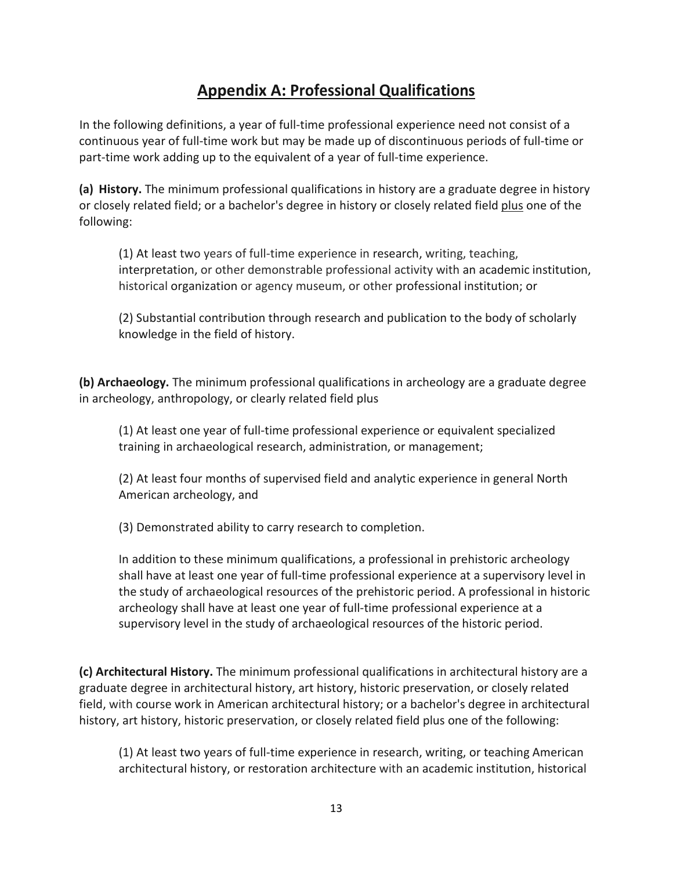# **Appendix A: Professional Qualifications**

In the following definitions, a year of full-time professional experience need not consist of a continuous year of full-time work but may be made up of discontinuous periods of full-time or part-time work adding up to the equivalent of a year of full-time experience.

**(a) History.** The minimum professional qualifications in history are a graduate degree in history or closely related field; or a bachelor's degree in history or closely related field plus one of the following:

(1) At least two years of full-time experience in research, writing, teaching, interpretation, or other demonstrable professional activity with an academic institution, historical organization or agency museum, or other professional institution; or

(2) Substantial contribution through research and publication to the body of scholarly knowledge in the field of history.

**(b) Archaeology.** The minimum professional qualifications in archeology are a graduate degree in archeology, anthropology, or clearly related field plus

(1) At least one year of full-time professional experience or equivalent specialized training in archaeological research, administration, or management;

(2) At least four months of supervised field and analytic experience in general North American archeology, and

(3) Demonstrated ability to carry research to completion.

In addition to these minimum qualifications, a professional in prehistoric archeology shall have at least one year of full-time professional experience at a supervisory level in the study of archaeological resources of the prehistoric period. A professional in historic archeology shall have at least one year of full-time professional experience at a supervisory level in the study of archaeological resources of the historic period.

**(c) Architectural History.** The minimum professional qualifications in architectural history are a graduate degree in architectural history, art history, historic preservation, or closely related field, with course work in American architectural history; or a bachelor's degree in architectural history, art history, historic preservation, or closely related field plus one of the following:

(1) At least two years of full-time experience in research, writing, or teaching American architectural history, or restoration architecture with an academic institution, historical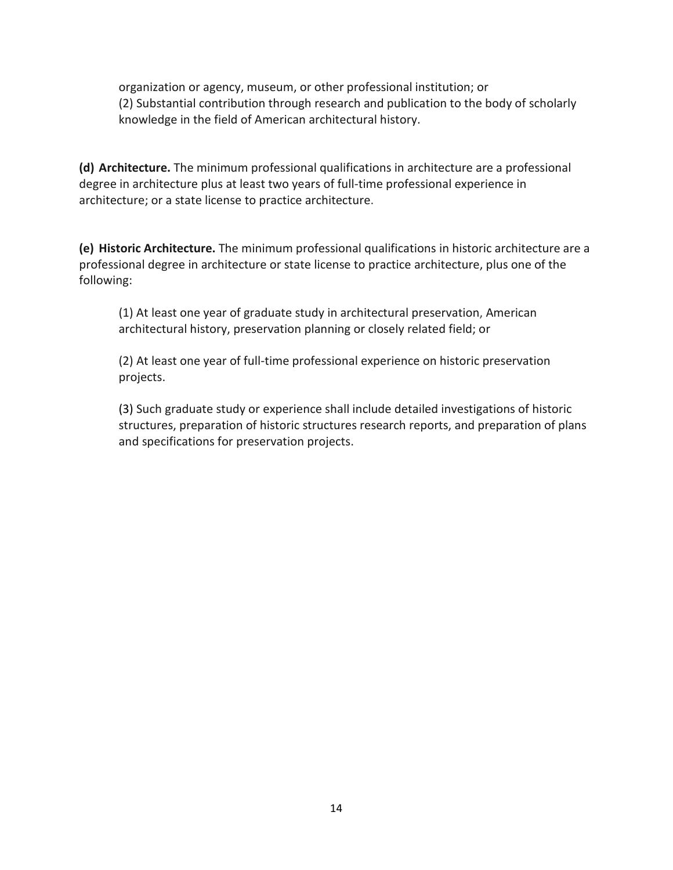organization or agency, museum, or other professional institution; or (2) Substantial contribution through research and publication to the body of scholarly knowledge in the field of American architectural history.

**(d) Architecture.** The minimum professional qualifications in architecture are a professional degree in architecture plus at least two years of full-time professional experience in architecture; or a state license to practice architecture.

**(e) Historic Architecture.** The minimum professional qualifications in historic architecture are a professional degree in architecture or state license to practice architecture, plus one of the following:

(1) At least one year of graduate study in architectural preservation, American architectural history, preservation planning or closely related field; or

(2) At least one year of full-time professional experience on historic preservation projects.

(3) Such graduate study or experience shall include detailed investigations of historic structures, preparation of historic structures research reports, and preparation of plans and specifications for preservation projects.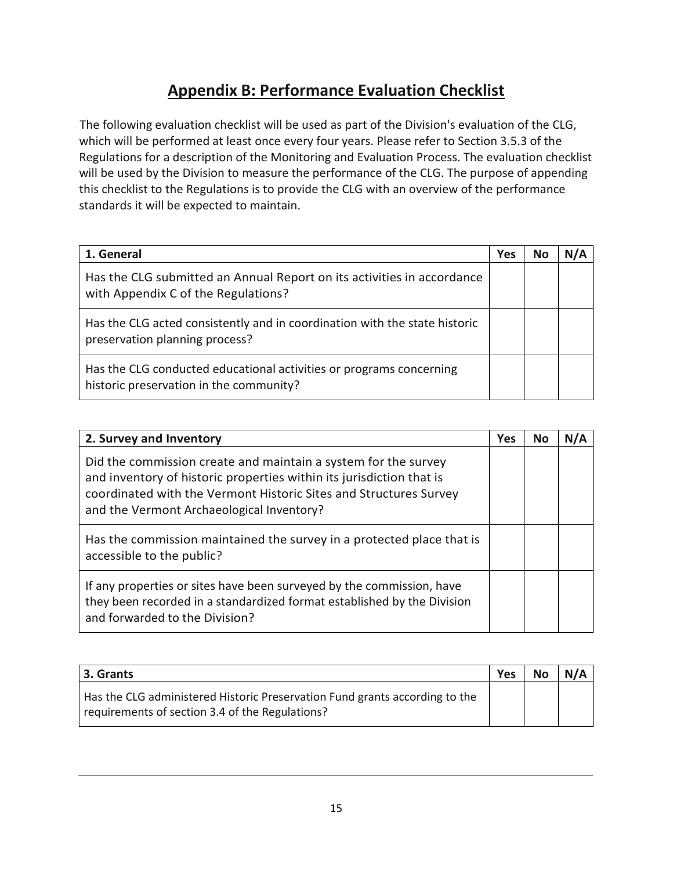# **Appendix B: Performance Evaluation Checklist**

The following evaluation checklist will be used as part of the Division's evaluation of the CLG, which will be performed at least once every four years. Please refer to Section 3.5.3 of the Regulations for a description of the Monitoring and Evaluation Process. The evaluation checklist will be used by the Division to measure the performance of the CLG. The purpose of appending this checklist to the Regulations is to provide the CLG with an overview of the performance standards it will be expected to maintain.

| 1. General                                                                                                     | Yes | No | N/A |
|----------------------------------------------------------------------------------------------------------------|-----|----|-----|
| Has the CLG submitted an Annual Report on its activities in accordance<br>with Appendix C of the Regulations?  |     |    |     |
| Has the CLG acted consistently and in coordination with the state historic<br>preservation planning process?   |     |    |     |
| Has the CLG conducted educational activities or programs concerning<br>historic preservation in the community? |     |    |     |

| 2. Survey and Inventory                                                                                                                                                                                                                                  |  | No | N/A |
|----------------------------------------------------------------------------------------------------------------------------------------------------------------------------------------------------------------------------------------------------------|--|----|-----|
| Did the commission create and maintain a system for the survey<br>and inventory of historic properties within its jurisdiction that is<br>coordinated with the Vermont Historic Sites and Structures Survey<br>and the Vermont Archaeological Inventory? |  |    |     |
| Has the commission maintained the survey in a protected place that is<br>accessible to the public?                                                                                                                                                       |  |    |     |
| If any properties or sites have been surveyed by the commission, have<br>they been recorded in a standardized format established by the Division<br>and forwarded to the Division?                                                                       |  |    |     |

| 3. Grants                                                                                                                      | <b>Yes</b> | <b>No</b> | N/A |
|--------------------------------------------------------------------------------------------------------------------------------|------------|-----------|-----|
| Has the CLG administered Historic Preservation Fund grants according to the<br>requirements of section 3.4 of the Regulations? |            |           |     |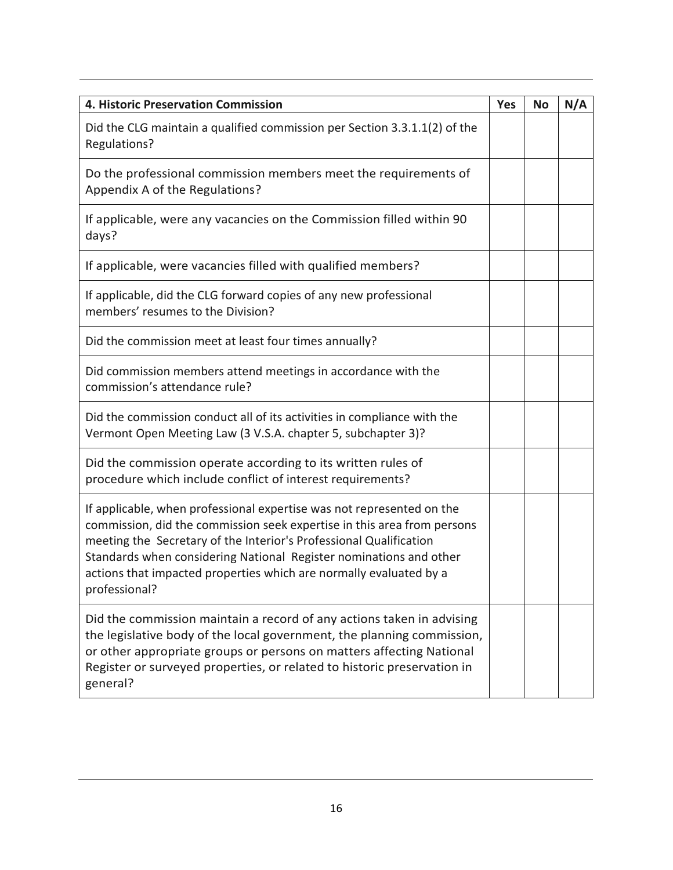| <b>4. Historic Preservation Commission</b>                                                                                                                                                                                                                                                                                                                                          |  |  | N/A |
|-------------------------------------------------------------------------------------------------------------------------------------------------------------------------------------------------------------------------------------------------------------------------------------------------------------------------------------------------------------------------------------|--|--|-----|
| Did the CLG maintain a qualified commission per Section 3.3.1.1(2) of the<br>Regulations?                                                                                                                                                                                                                                                                                           |  |  |     |
| Do the professional commission members meet the requirements of<br>Appendix A of the Regulations?                                                                                                                                                                                                                                                                                   |  |  |     |
| If applicable, were any vacancies on the Commission filled within 90<br>days?                                                                                                                                                                                                                                                                                                       |  |  |     |
| If applicable, were vacancies filled with qualified members?                                                                                                                                                                                                                                                                                                                        |  |  |     |
| If applicable, did the CLG forward copies of any new professional<br>members' resumes to the Division?                                                                                                                                                                                                                                                                              |  |  |     |
| Did the commission meet at least four times annually?                                                                                                                                                                                                                                                                                                                               |  |  |     |
| Did commission members attend meetings in accordance with the<br>commission's attendance rule?                                                                                                                                                                                                                                                                                      |  |  |     |
| Did the commission conduct all of its activities in compliance with the<br>Vermont Open Meeting Law (3 V.S.A. chapter 5, subchapter 3)?                                                                                                                                                                                                                                             |  |  |     |
| Did the commission operate according to its written rules of<br>procedure which include conflict of interest requirements?                                                                                                                                                                                                                                                          |  |  |     |
| If applicable, when professional expertise was not represented on the<br>commission, did the commission seek expertise in this area from persons<br>meeting the Secretary of the Interior's Professional Qualification<br>Standards when considering National Register nominations and other<br>actions that impacted properties which are normally evaluated by a<br>professional? |  |  |     |
| Did the commission maintain a record of any actions taken in advising<br>the legislative body of the local government, the planning commission,<br>or other appropriate groups or persons on matters affecting National<br>Register or surveyed properties, or related to historic preservation in<br>general?                                                                      |  |  |     |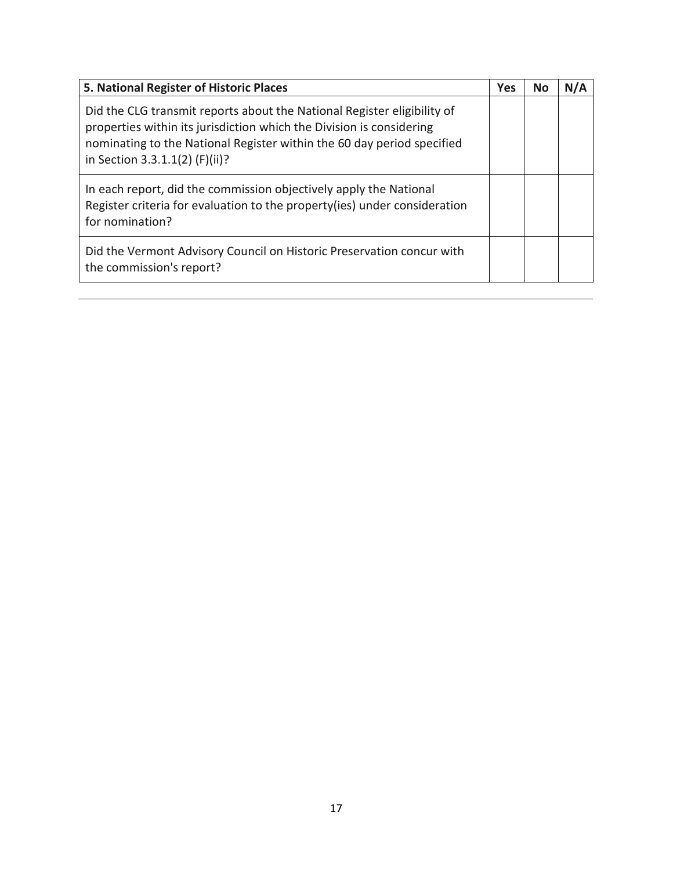| 5. National Register of Historic Places                                                                                                                                                                                                                     |  | No | N/A |
|-------------------------------------------------------------------------------------------------------------------------------------------------------------------------------------------------------------------------------------------------------------|--|----|-----|
| Did the CLG transmit reports about the National Register eligibility of<br>properties within its jurisdiction which the Division is considering<br>nominating to the National Register within the 60 day period specified<br>in Section 3.3.1.1(2) (F)(ii)? |  |    |     |
| In each report, did the commission objectively apply the National<br>Register criteria for evaluation to the property (ies) under consideration<br>for nomination?                                                                                          |  |    |     |
| Did the Vermont Advisory Council on Historic Preservation concur with<br>the commission's report?                                                                                                                                                           |  |    |     |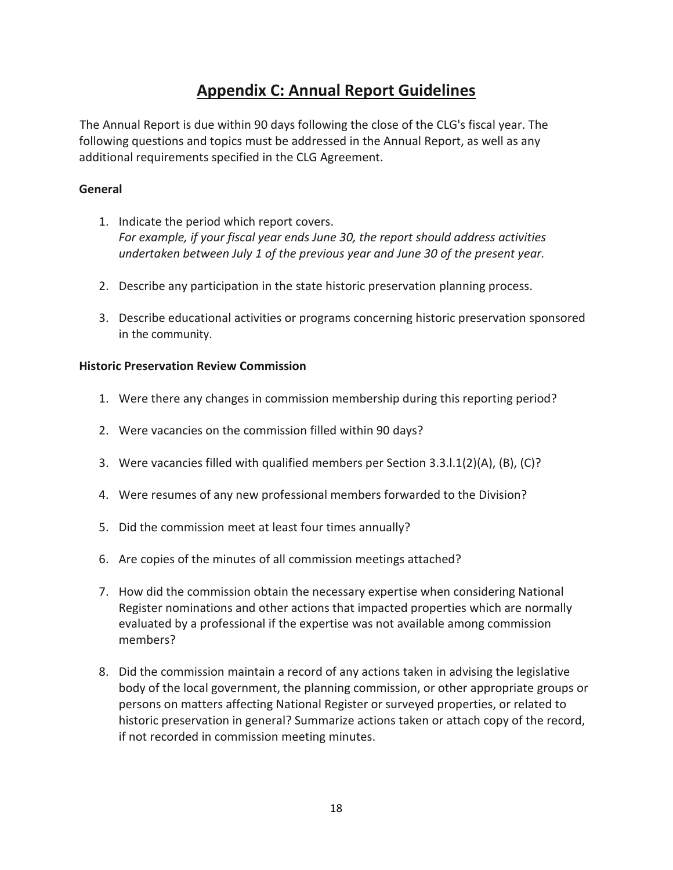# **Appendix C: Annual Report Guidelines**

The Annual Report is due within 90 days following the close of the CLG's fiscal year. The following questions and topics must be addressed in the Annual Report, as well as any additional requirements specified in the CLG Agreement.

# **General**

- 1. Indicate the period which report covers. *For example, if your fiscal year ends June 30, the report should address activities undertaken between July 1 of the previous year and June 30 of the present year.*
- 2. Describe any participation in the state historic preservation planning process.
- 3. Describe educational activities or programs concerning historic preservation sponsored in the community.

# **Historic Preservation Review Commission**

- 1. Were there any changes in commission membership during this reporting period?
- 2. Were vacancies on the commission filled within 90 days?
- 3. Were vacancies filled with qualified members per Section 3.3.l.1(2)(A), (B), (C)?
- 4. Were resumes of any new professional members forwarded to the Division?
- 5. Did the commission meet at least four times annually?
- 6. Are copies of the minutes of all commission meetings attached?
- 7. How did the commission obtain the necessary expertise when considering National Register nominations and other actions that impacted properties which are normally evaluated by a professional if the expertise was not available among commission members?
- 8. Did the commission maintain a record of any actions taken in advising the legislative body of the local government, the planning commission, or other appropriate groups or persons on matters affecting National Register or surveyed properties, or related to historic preservation in general? Summarize actions taken or attach copy of the record, if not recorded in commission meeting minutes.